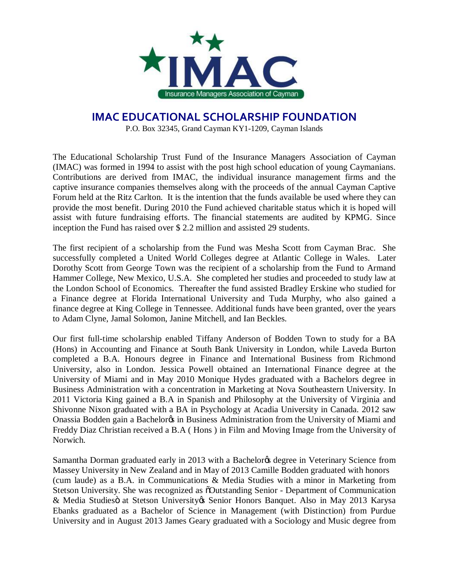

## **IMAC EDUCATIONAL SCHOLARSHIP FOUNDATION**

P.O. Box 32345, Grand Cayman KY1-1209, Cayman Islands

The Educational Scholarship Trust Fund of the Insurance Managers Association of Cayman (IMAC) was formed in 1994 to assist with the post high school education of young Caymanians. Contributions are derived from IMAC, the individual insurance management firms and the captive insurance companies themselves along with the proceeds of the annual Cayman Captive Forum held at the Ritz Carlton. It is the intention that the funds available be used where they can provide the most benefit. During 2010 the Fund achieved charitable status which it is hoped will assist with future fundraising efforts. The financial statements are audited by KPMG. Since inception the Fund has raised over \$ 2.2 million and assisted 29 students.

The first recipient of a scholarship from the Fund was Mesha Scott from Cayman Brac. She successfully completed a United World Colleges degree at Atlantic College in Wales. Later Dorothy Scott from George Town was the recipient of a scholarship from the Fund to Armand Hammer College, New Mexico, U.S.A. She completed her studies and proceeded to study law at the London School of Economics. Thereafter the fund assisted Bradley Erskine who studied for a Finance degree at Florida International University and Tuda Murphy, who also gained a finance degree at King College in Tennessee. Additional funds have been granted, over the years to Adam Clyne, Jamal Solomon, Janine Mitchell, and Ian Beckles.

Our first full-time scholarship enabled Tiffany Anderson of Bodden Town to study for a BA (Hons) in Accounting and Finance at South Bank University in London, while Laveda Burton completed a B.A. Honours degree in Finance and International Business from Richmond University, also in London. Jessica Powell obtained an International Finance degree at the University of Miami and in May 2010 Monique Hydes graduated with a Bachelors degree in Business Administration with a concentration in Marketing at Nova Southeastern University. In 2011 Victoria King gained a B.A in Spanish and Philosophy at the University of Virginia and Shivonne Nixon graduated with a BA in Psychology at Acadia University in Canada. 2012 saw Onassia Bodden gain a Bachelor in Business Administration from the University of Miami and Freddy Diaz Christian received a B.A ( Hons ) in Film and Moving Image from the University of Norwich.

Samantha Dorman graduated early in 2013 with a Bachelor ts degree in Veterinary Science from Massey University in New Zealand and in May of 2013 Camille Bodden graduated with honors (cum laude) as a B.A. in Communications & Media Studies with a minor in Marketing from Stetson University. She was recognized as  $\delta$ Outstanding Senior - Department of Communication & Media Studiesö at Stetson University & Senior Honors Banquet. Also in May 2013 Karysa Ebanks graduated as a Bachelor of Science in Management (with Distinction) from Purdue University and in August 2013 James Geary graduated with a Sociology and Music degree from